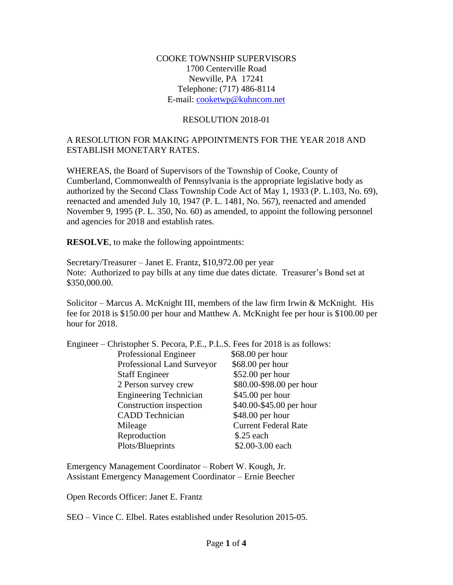## COOKE TOWNSHIP SUPERVISORS 1700 Centerville Road Newville, PA 17241 Telephone: (717) 486-8114 E-mail: [cooketwp@kuhncom.net](mailto:cooketwp@kuhncom.net)

#### RESOLUTION 2018-01

## A RESOLUTION FOR MAKING APPOINTMENTS FOR THE YEAR 2018 AND ESTABLISH MONETARY RATES.

WHEREAS, the Board of Supervisors of the Township of Cooke, County of Cumberland, Commonwealth of Pennsylvania is the appropriate legislative body as authorized by the Second Class Township Code Act of May 1, 1933 (P. L.103, No. 69), reenacted and amended July 10, 1947 (P. L. 1481, No. 567), reenacted and amended November 9, 1995 (P. L. 350, No. 60) as amended, to appoint the following personnel and agencies for 2018 and establish rates.

**RESOLVE**, to make the following appointments:

Secretary/Treasurer – Janet E. Frantz, \$10,972.00 per year Note: Authorized to pay bills at any time due dates dictate. Treasurer's Bond set at \$350,000.00.

Solicitor – Marcus A. McKnight III, members of the law firm Irwin & McKnight. His fee for 2018 is \$150.00 per hour and Matthew A. McKnight fee per hour is \$100.00 per hour for 2018.

| Engineer – Christopher S. Pecora, P.E., P.L.S. Fees for 2018 is as follows: |                             |
|-----------------------------------------------------------------------------|-----------------------------|
| Professional Engineer                                                       | \$68.00 per hour            |
| Professional Land Surveyor                                                  | \$68.00 per hour            |
| <b>Staff Engineer</b>                                                       | \$52.00 per hour            |
| 2 Person survey crew                                                        | \$80.00-\$98.00 per hour    |
| <b>Engineering Technician</b>                                               | \$45.00 per hour            |
| Construction inspection                                                     | \$40.00-\$45.00 per hour    |
| <b>CADD</b> Technician                                                      | \$48.00 per hour            |
| Mileage                                                                     | <b>Current Federal Rate</b> |
| Reproduction                                                                | $$.25$ each                 |
| Plots/Blueprints                                                            | \$2.00-3.00 each            |

Emergency Management Coordinator – Robert W. Kough, Jr. Assistant Emergency Management Coordinator – Ernie Beecher

Open Records Officer: Janet E. Frantz

SEO – Vince C. Elbel. Rates established under Resolution 2015-05.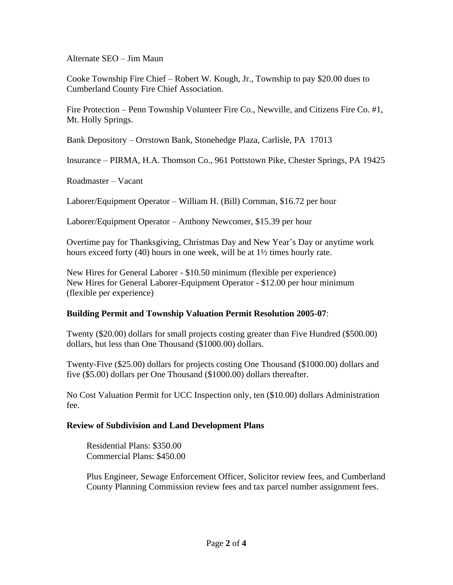Alternate SEO – Jim Maun

Cooke Township Fire Chief – Robert W. Kough, Jr., Township to pay \$20.00 dues to Cumberland County Fire Chief Association.

Fire Protection – Penn Township Volunteer Fire Co., Newville, and Citizens Fire Co. #1, Mt. Holly Springs.

Bank Depository – Orrstown Bank, Stonehedge Plaza, Carlisle, PA 17013

Insurance – PIRMA, H.A. Thomson Co., 961 Pottstown Pike, Chester Springs, PA 19425

Roadmaster – Vacant

Laborer/Equipment Operator – William H. (Bill) Cornman, \$16.72 per hour

Laborer/Equipment Operator – Anthony Newcomer, \$15.39 per hour

Overtime pay for Thanksgiving, Christmas Day and New Year's Day or anytime work hours exceed forty (40) hours in one week, will be at 1½ times hourly rate.

New Hires for General Laborer - \$10.50 minimum (flexible per experience) New Hires for General Laborer-Equipment Operator - \$12.00 per hour minimum (flexible per experience)

## **Building Permit and Township Valuation Permit Resolution 2005-07**:

Twenty (\$20.00) dollars for small projects costing greater than Five Hundred (\$500.00) dollars, but less than One Thousand (\$1000.00) dollars.

Twenty-Five (\$25.00) dollars for projects costing One Thousand (\$1000.00) dollars and five (\$5.00) dollars per One Thousand (\$1000.00) dollars thereafter.

No Cost Valuation Permit for UCC Inspection only, ten (\$10.00) dollars Administration fee.

## **Review of Subdivision and Land Development Plans**

 Residential Plans: \$350.00 Commercial Plans: \$450.00

 Plus Engineer, Sewage Enforcement Officer, Solicitor review fees, and Cumberland County Planning Commission review fees and tax parcel number assignment fees.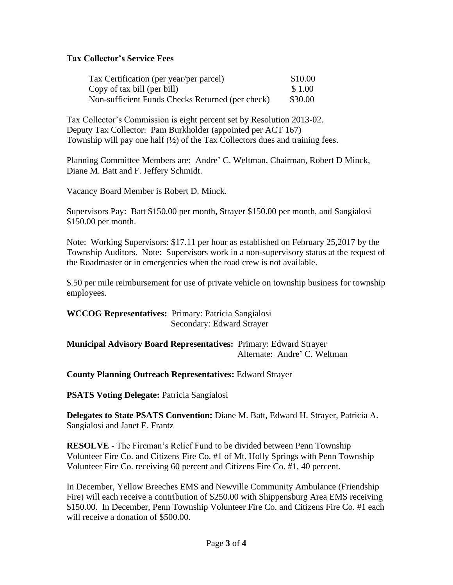## **Tax Collector's Service Fees**

| Tax Certification (per year/per parcel)          | \$10.00 |
|--------------------------------------------------|---------|
| Copy of tax bill (per bill)                      | \$1.00  |
| Non-sufficient Funds Checks Returned (per check) | \$30.00 |

Tax Collector's Commission is eight percent set by Resolution 2013-02. Deputy Tax Collector: Pam Burkholder (appointed per ACT 167) Township will pay one half (½) of the Tax Collectors dues and training fees.

Planning Committee Members are: Andre' C. Weltman, Chairman, Robert D Minck, Diane M. Batt and F. Jeffery Schmidt.

Vacancy Board Member is Robert D. Minck.

Supervisors Pay: Batt \$150.00 per month, Strayer \$150.00 per month, and Sangialosi \$150.00 per month.

Note: Working Supervisors: \$17.11 per hour as established on February 25,2017 by the Township Auditors. Note: Supervisors work in a non-supervisory status at the request of the Roadmaster or in emergencies when the road crew is not available.

\$.50 per mile reimbursement for use of private vehicle on township business for township employees.

**WCCOG Representatives:** Primary: Patricia Sangialosi Secondary: Edward Strayer

**Municipal Advisory Board Representatives:** Primary: Edward Strayer Alternate: Andre' C. Weltman

**County Planning Outreach Representatives:** Edward Strayer

**PSATS Voting Delegate:** Patricia Sangialosi

**Delegates to State PSATS Convention:** Diane M. Batt, Edward H. Strayer, Patricia A. Sangialosi and Janet E. Frantz

**RESOLVE** - The Fireman's Relief Fund to be divided between Penn Township Volunteer Fire Co. and Citizens Fire Co. #1 of Mt. Holly Springs with Penn Township Volunteer Fire Co. receiving 60 percent and Citizens Fire Co. #1, 40 percent.

In December, Yellow Breeches EMS and Newville Community Ambulance (Friendship Fire) will each receive a contribution of \$250.00 with Shippensburg Area EMS receiving \$150.00. In December, Penn Township Volunteer Fire Co. and Citizens Fire Co. #1 each will receive a donation of \$500.00.